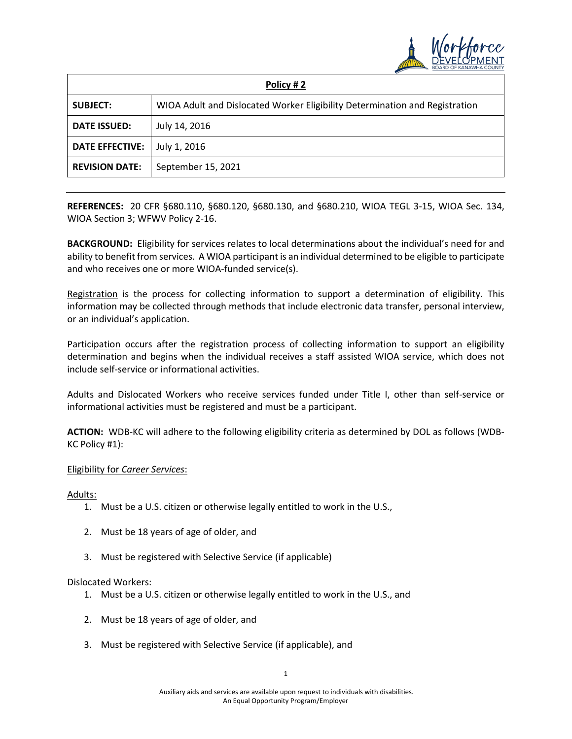

| Policy #2              |                                                                             |
|------------------------|-----------------------------------------------------------------------------|
| <b>SUBJECT:</b>        | WIOA Adult and Dislocated Worker Eligibility Determination and Registration |
| <b>DATE ISSUED:</b>    | July 14, 2016                                                               |
| <b>DATE EFFECTIVE:</b> | July 1, 2016                                                                |
| <b>REVISION DATE:</b>  | September 15, 2021                                                          |

**REFERENCES:** 20 CFR §680.110, §680.120, §680.130, and §680.210, WIOA TEGL 3-15, WIOA Sec. 134, WIOA Section 3; WFWV Policy 2-16.

**BACKGROUND:** Eligibility for services relates to local determinations about the individual's need for and ability to benefit from services. A WIOA participant is an individual determined to be eligible to participate and who receives one or more WIOA-funded service(s).

Registration is the process for collecting information to support a determination of eligibility. This information may be collected through methods that include electronic data transfer, personal interview, or an individual's application.

Participation occurs after the registration process of collecting information to support an eligibility determination and begins when the individual receives a staff assisted WIOA service, which does not include self-service or informational activities.

Adults and Dislocated Workers who receive services funded under Title I, other than self-service or informational activities must be registered and must be a participant.

**ACTION:** WDB-KC will adhere to the following eligibility criteria as determined by DOL as follows (WDB-KC Policy #1):

## Eligibility for *Career Services*:

Adults:

- 1. Must be a U.S. citizen or otherwise legally entitled to work in the U.S.,
- 2. Must be 18 years of age of older, and
- 3. Must be registered with Selective Service (if applicable)

## Dislocated Workers:

- 1. Must be a U.S. citizen or otherwise legally entitled to work in the U.S., and
- 2. Must be 18 years of age of older, and
- 3. Must be registered with Selective Service (if applicable), and